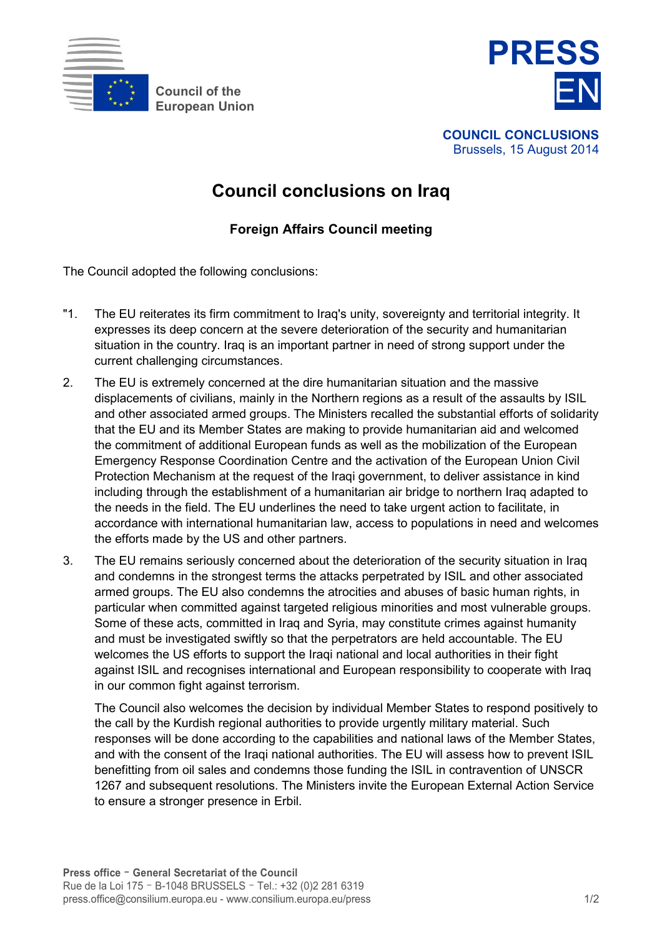

**Council of the European Union**



**COUNCIL CONCLUSIONS**  Brussels, 15 August 2014

## **Council conclusions on Iraq**

**Foreign Affairs Council meeting** 

The Council adopted the following conclusions:

- "1. The EU reiterates its firm commitment to Iraq's unity, sovereignty and territorial integrity. It expresses its deep concern at the severe deterioration of the security and humanitarian situation in the country. Iraq is an important partner in need of strong support under the current challenging circumstances.
- 2. The EU is extremely concerned at the dire humanitarian situation and the massive displacements of civilians, mainly in the Northern regions as a result of the assaults by ISIL and other associated armed groups. The Ministers recalled the substantial efforts of solidarity that the EU and its Member States are making to provide humanitarian aid and welcomed the commitment of additional European funds as well as the mobilization of the European Emergency Response Coordination Centre and the activation of the European Union Civil Protection Mechanism at the request of the Iraqi government, to deliver assistance in kind including through the establishment of a humanitarian air bridge to northern Iraq adapted to the needs in the field. The EU underlines the need to take urgent action to facilitate, in accordance with international humanitarian law, access to populations in need and welcomes the efforts made by the US and other partners.
- 3. The EU remains seriously concerned about the deterioration of the security situation in Iraq and condemns in the strongest terms the attacks perpetrated by ISIL and other associated armed groups. The EU also condemns the atrocities and abuses of basic human rights, in particular when committed against targeted religious minorities and most vulnerable groups. Some of these acts, committed in Iraq and Syria, may constitute crimes against humanity and must be investigated swiftly so that the perpetrators are held accountable. The EU welcomes the US efforts to support the Iraqi national and local authorities in their fight against ISIL and recognises international and European responsibility to cooperate with Iraq in our common fight against terrorism.

The Council also welcomes the decision by individual Member States to respond positively to the call by the Kurdish regional authorities to provide urgently military material. Such responses will be done according to the capabilities and national laws of the Member States, and with the consent of the Iraqi national authorities. The EU will assess how to prevent ISIL benefitting from oil sales and condemns those funding the ISIL in contravention of UNSCR 1267 and subsequent resolutions. The Ministers invite the European External Action Service to ensure a stronger presence in Erbil.